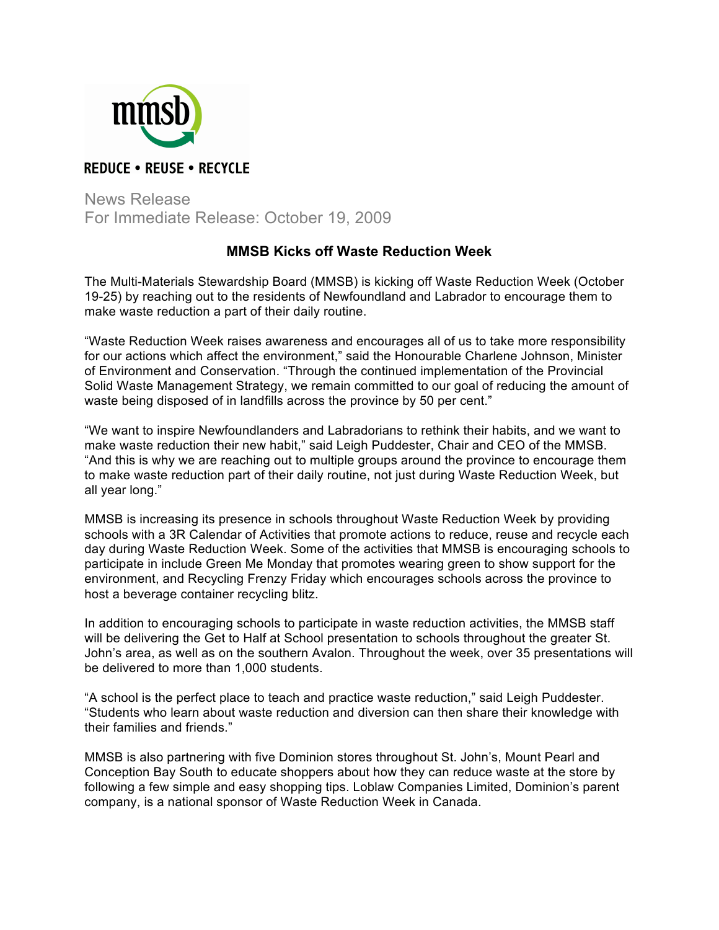

## **REDUCE • REUSE • RECYCLE**

News Release For Immediate Release: October 19, 2009

## **MMSB Kicks off Waste Reduction Week**

The Multi-Materials Stewardship Board (MMSB) is kicking off Waste Reduction Week (October 19-25) by reaching out to the residents of Newfoundland and Labrador to encourage them to make waste reduction a part of their daily routine.

"Waste Reduction Week raises awareness and encourages all of us to take more responsibility for our actions which affect the environment," said the Honourable Charlene Johnson, Minister of Environment and Conservation. "Through the continued implementation of the Provincial Solid Waste Management Strategy, we remain committed to our goal of reducing the amount of waste being disposed of in landfills across the province by 50 per cent."

"We want to inspire Newfoundlanders and Labradorians to rethink their habits, and we want to make waste reduction their new habit," said Leigh Puddester, Chair and CEO of the MMSB. "And this is why we are reaching out to multiple groups around the province to encourage them to make waste reduction part of their daily routine, not just during Waste Reduction Week, but all year long."

MMSB is increasing its presence in schools throughout Waste Reduction Week by providing schools with a 3R Calendar of Activities that promote actions to reduce, reuse and recycle each day during Waste Reduction Week. Some of the activities that MMSB is encouraging schools to participate in include Green Me Monday that promotes wearing green to show support for the environment, and Recycling Frenzy Friday which encourages schools across the province to host a beverage container recycling blitz.

In addition to encouraging schools to participate in waste reduction activities, the MMSB staff will be delivering the Get to Half at School presentation to schools throughout the greater St. John's area, as well as on the southern Avalon. Throughout the week, over 35 presentations will be delivered to more than 1,000 students.

"A school is the perfect place to teach and practice waste reduction," said Leigh Puddester. "Students who learn about waste reduction and diversion can then share their knowledge with their families and friends."

MMSB is also partnering with five Dominion stores throughout St. John's, Mount Pearl and Conception Bay South to educate shoppers about how they can reduce waste at the store by following a few simple and easy shopping tips. Loblaw Companies Limited, Dominion's parent company, is a national sponsor of Waste Reduction Week in Canada.